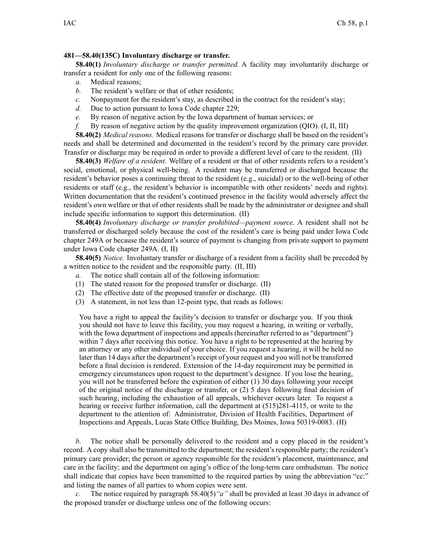## **481—58.40(135C) Involuntary discharge or transfer.**

**58.40(1)** *Involuntary discharge or transfer permitted.* A facility may involuntarily discharge or transfer <sup>a</sup> resident for only one of the following reasons:

- *a.* Medical reasons;
- *b.* The resident's welfare or that of other residents;
- *c.* Nonpayment for the resident's stay, as described in the contract for the resident's stay;
- *d.* Due to action pursuan<sup>t</sup> to Iowa Code chapter [229](https://www.legis.iowa.gov/docs/ico/chapter/229.pdf);
- *e.* By reason of negative action by the Iowa department of human services; or
- *f.* By reason of negative action by the quality improvement organization (QIO). (I, II, III)

**58.40(2)** *Medical reasons.* Medical reasons for transfer or discharge shall be based on the resident's needs and shall be determined and documented in the resident's record by the primary care provider. Transfer or discharge may be required in order to provide <sup>a</sup> different level of care to the resident. (II)

**58.40(3)** *Welfare of <sup>a</sup> resident.* Welfare of <sup>a</sup> resident or that of other residents refers to <sup>a</sup> resident's social, emotional, or physical well-being. A resident may be transferred or discharged because the resident's behavior poses <sup>a</sup> continuing threat to the resident (e.g., suicidal) or to the well-being of other residents or staff (e.g., the resident's behavior is incompatible with other residents' needs and rights). Written documentation that the resident's continued presence in the facility would adversely affect the resident's own welfare or that of other residents shall be made by the administrator or designee and shall include specific information to suppor<sup>t</sup> this determination. (II)

**58.40(4)** *Involuntary discharge or transfer prohibited—payment source.* A resident shall not be transferred or discharged solely because the cost of the resident's care is being paid under Iowa Code chapter [249A](https://www.legis.iowa.gov/docs/ico/chapter/249A.pdf) or because the resident's source of paymen<sup>t</sup> is changing from private suppor<sup>t</sup> to paymen<sup>t</sup> under Iowa Code chapter [249A](https://www.legis.iowa.gov/docs/ico/chapter/249A.pdf). (I, II)

**58.40(5)** *Notice.* Involuntary transfer or discharge of <sup>a</sup> resident from <sup>a</sup> facility shall be preceded by <sup>a</sup> written notice to the resident and the responsible party. (II, III)

- *a.* The notice shall contain all of the following information:
- (1) The stated reason for the proposed transfer or discharge. (II)
- (2) The effective date of the proposed transfer or discharge. (II)
- (3) A statement, in not less than 12-point type, that reads as follows:

You have a right to appeal the facility's decision to transfer or discharge you. If you think you should not have to leave this facility, you may reques<sup>t</sup> <sup>a</sup> hearing, in writing or verbally, with the Iowa department of inspections and appeals (hereinafter referred to as "department") within 7 days after receiving this notice. You have <sup>a</sup> right to be represented at the hearing by an attorney or any other individual of your choice. If you reques<sup>t</sup> <sup>a</sup> hearing, it will be held no later than 14 days after the department's receipt of your reques<sup>t</sup> and you will not be transferred before <sup>a</sup> final decision is rendered. Extension of the 14-day requirement may be permitted in emergency circumstances upon reques<sup>t</sup> to the department's designee. If you lose the hearing, you will not be transferred before the expiration of either (1) 30 days following your receipt of the original notice of the discharge or transfer, or (2) 5 days following final decision of such hearing, including the exhaustion of all appeals, whichever occurs later. To reques<sup>t</sup> <sup>a</sup> hearing or receive further information, call the department at (515)281-4115, or write to the department to the attention of: Administrator, Division of Health Facilities, Department of Inspections and Appeals, Lucas State Office Building, Des Moines, Iowa 50319-0083. (II)

*b.* The notice shall be personally delivered to the resident and <sup>a</sup> copy placed in the resident's record. A copy shall also be transmitted to the department; the resident's responsible party; the resident's primary care provider; the person or agency responsible for the resident's placement, maintenance, and care in the facility; and the department on aging's office of the long-term care ombudsman. The notice shall indicate that copies have been transmitted to the required parties by using the abbreviation "cc:" and listing the names of all parties to whom copies were sent.

*c.* The notice required by paragraph [58.40\(5\)](https://www.legis.iowa.gov/docs/iac/rule/481.58.40.pdf)*"a"* shall be provided at least 30 days in advance of the proposed transfer or discharge unless one of the following occurs: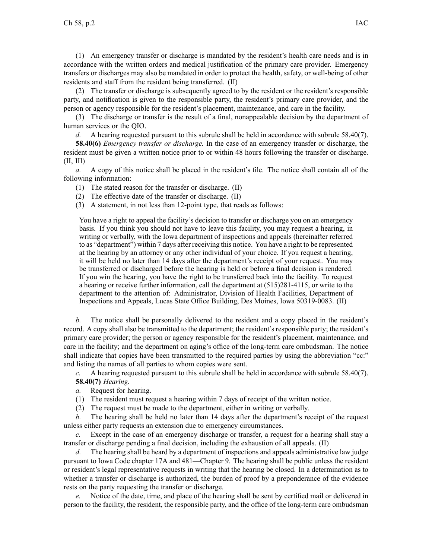(1) An emergency transfer or discharge is mandated by the resident's health care needs and is in accordance with the written orders and medical justification of the primary care provider. Emergency transfers or discharges may also be mandated in order to protect the health, safety, or well-being of other residents and staff from the resident being transferred. (II)

(2) The transfer or discharge is subsequently agreed to by the resident or the resident's responsible party, and notification is given to the responsible party, the resident's primary care provider, and the person or agency responsible for the resident's placement, maintenance, and care in the facility.

(3) The discharge or transfer is the result of <sup>a</sup> final, nonappealable decision by the department of human services or the QIO.

*d.* A hearing requested pursuant to this subrule shall be held in accordance with subrule [58.40\(7\)](https://www.legis.iowa.gov/docs/iac/rule/481.58.40.pdf).

**58.40(6)** *Emergency transfer or discharge.* In the case of an emergency transfer or discharge, the resident must be given <sup>a</sup> written notice prior to or within 48 hours following the transfer or discharge. (II, III)

*a.* A copy of this notice shall be placed in the resident's file. The notice shall contain all of the following information:

(1) The stated reason for the transfer or discharge. (II)

(2) The effective date of the transfer or discharge. (II)

(3) A statement, in not less than 12-point type, that reads as follows:

You have <sup>a</sup> right to appeal the facility's decision to transfer or discharge you on an emergency basis. If you think you should not have to leave this facility, you may reques<sup>t</sup> <sup>a</sup> hearing, in writing or verbally, with the Iowa department of inspections and appeals (hereinafter referred to as "department") within 7 days after receiving this notice. You have <sup>a</sup> right to be represented at the hearing by an attorney or any other individual of your choice. If you reques<sup>t</sup> <sup>a</sup> hearing, it will be held no later than 14 days after the department's receipt of your request. You may be transferred or discharged before the hearing is held or before <sup>a</sup> final decision is rendered. If you win the hearing, you have the right to be transferred back into the facility. To reques<sup>t</sup> <sup>a</sup> hearing or receive further information, call the department at (515)281-4115, or write to the department to the attention of: Administrator, Division of Health Facilities, Department of Inspections and Appeals, Lucas State Office Building, Des Moines, Iowa 50319-0083. (II)

*b.* The notice shall be personally delivered to the resident and <sup>a</sup> copy placed in the resident's record. A copy shall also be transmitted to the department; the resident's responsible party; the resident's primary care provider; the person or agency responsible for the resident's placement, maintenance, and care in the facility; and the department on aging's office of the long-term care ombudsman. The notice shall indicate that copies have been transmitted to the required parties by using the abbreviation "cc:" and listing the names of all parties to whom copies were sent.

*c.* A hearing requested pursuan<sup>t</sup> to this subrule shall be held in accordance with subrule [58.40\(7\)](https://www.legis.iowa.gov/docs/iac/rule/481.58.40.pdf).

**58.40(7)** *Hearing.*

- *a.* Request for hearing.
- (1) The resident must reques<sup>t</sup> <sup>a</sup> hearing within 7 days of receipt of the written notice.
- (2) The reques<sup>t</sup> must be made to the department, either in writing or verbally.

*b.* The hearing shall be held no later than 14 days after the department's receipt of the reques<sup>t</sup> unless either party requests an extension due to emergency circumstances.

*c.* Except in the case of an emergency discharge or transfer, <sup>a</sup> reques<sup>t</sup> for <sup>a</sup> hearing shall stay <sup>a</sup> transfer or discharge pending <sup>a</sup> final decision, including the exhaustion of all appeals. (II)

*d.* The hearing shall be heard by <sup>a</sup> department of inspections and appeals administrative law judge pursuan<sup>t</sup> to Iowa Code chapter [17A](https://www.legis.iowa.gov/docs/ico/chapter/2017/17A.pdf) and [481—Chapter](https://www.legis.iowa.gov/docs/iac/chapter/481.9.pdf) 9. The hearing shall be public unless the resident or resident's legal representative requests in writing that the hearing be closed. In <sup>a</sup> determination as to whether <sup>a</sup> transfer or discharge is authorized, the burden of proof by <sup>a</sup> preponderance of the evidence rests on the party requesting the transfer or discharge.

*e.* Notice of the date, time, and place of the hearing shall be sent by certified mail or delivered in person to the facility, the resident, the responsible party, and the office of the long-term care ombudsman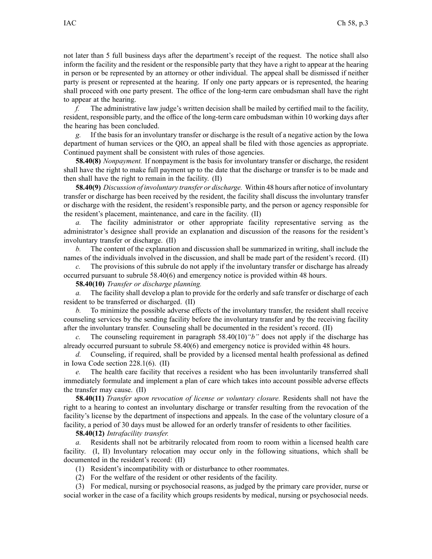not later than 5 full business days after the department's receipt of the request. The notice shall also inform the facility and the resident or the responsible party that they have <sup>a</sup> right to appear at the hearing in person or be represented by an attorney or other individual. The appeal shall be dismissed if neither party is presen<sup>t</sup> or represented at the hearing. If only one party appears or is represented, the hearing shall proceed with one party present. The office of the long-term care ombudsman shall have the right to appear at the hearing.

*f.* The administrative law judge's written decision shall be mailed by certified mail to the facility, resident, responsible party, and the office of the long-term care ombudsman within 10 working days after the hearing has been concluded.

*g.* If the basis for an involuntary transfer or discharge is the result of <sup>a</sup> negative action by the Iowa department of human services or the QIO, an appeal shall be filed with those agencies as appropriate. Continued paymen<sup>t</sup> shall be consistent with rules of those agencies.

**58.40(8)** *Nonpayment.* If nonpaymen<sup>t</sup> is the basis for involuntary transfer or discharge, the resident shall have the right to make full paymen<sup>t</sup> up to the date that the discharge or transfer is to be made and then shall have the right to remain in the facility. (II)

**58.40(9)** *Discussion of involuntary transfer or discharge.* Within 48 hours after notice of involuntary transfer or discharge has been received by the resident, the facility shall discuss the involuntary transfer or discharge with the resident, the resident's responsible party, and the person or agency responsible for the resident's placement, maintenance, and care in the facility. (II)

*a.* The facility administrator or other appropriate facility representative serving as the administrator's designee shall provide an explanation and discussion of the reasons for the resident's involuntary transfer or discharge. (II)

*b.* The content of the explanation and discussion shall be summarized in writing, shall include the names of the individuals involved in the discussion, and shall be made par<sup>t</sup> of the resident's record. (II)

*c.* The provisions of this subrule do not apply if the involuntary transfer or discharge has already occurred pursuan<sup>t</sup> to subrule [58.40\(6\)](https://www.legis.iowa.gov/docs/iac/rule/481.58.40.pdf) and emergency notice is provided within 48 hours.

**58.40(10)** *Transfer or discharge planning.*

*a.* The facility shall develop <sup>a</sup> plan to provide for the orderly and safe transfer or discharge of each resident to be transferred or discharged. (II)

*b.* To minimize the possible adverse effects of the involuntary transfer, the resident shall receive counseling services by the sending facility before the involuntary transfer and by the receiving facility after the involuntary transfer. Counseling shall be documented in the resident's record. (II)

*c.* The counseling requirement in paragraph [58.40\(10\)](https://www.legis.iowa.gov/docs/iac/rule/481.58.40.pdf)*"b"* does not apply if the discharge has already occurred pursuan<sup>t</sup> to subrule [58.40\(6\)](https://www.legis.iowa.gov/docs/iac/rule/481.58.40.pdf) and emergency notice is provided within 48 hours.

*d.* Counseling, if required, shall be provided by <sup>a</sup> licensed mental health professional as defined in Iowa Code section [228.1\(6\)](https://www.legis.iowa.gov/docs/ico/section/228.1.pdf). (II)

*e.* The health care facility that receives <sup>a</sup> resident who has been involuntarily transferred shall immediately formulate and implement <sup>a</sup> plan of care which takes into account possible adverse effects the transfer may cause. (II)

**58.40(11)** *Transfer upon revocation of license or voluntary closure.* Residents shall not have the right to <sup>a</sup> hearing to contest an involuntary discharge or transfer resulting from the revocation of the facility's license by the department of inspections and appeals. In the case of the voluntary closure of <sup>a</sup> facility, <sup>a</sup> period of 30 days must be allowed for an orderly transfer of residents to other facilities.

**58.40(12)** *Intrafacility transfer.*

*a.* Residents shall not be arbitrarily relocated from room to room within <sup>a</sup> licensed health care facility. (I, II) Involuntary relocation may occur only in the following situations, which shall be documented in the resident's record: (II)

(1) Resident's incompatibility with or disturbance to other roommates.

(2) For the welfare of the resident or other residents of the facility.

(3) For medical, nursing or psychosocial reasons, as judged by the primary care provider, nurse or social worker in the case of <sup>a</sup> facility which groups residents by medical, nursing or psychosocial needs.